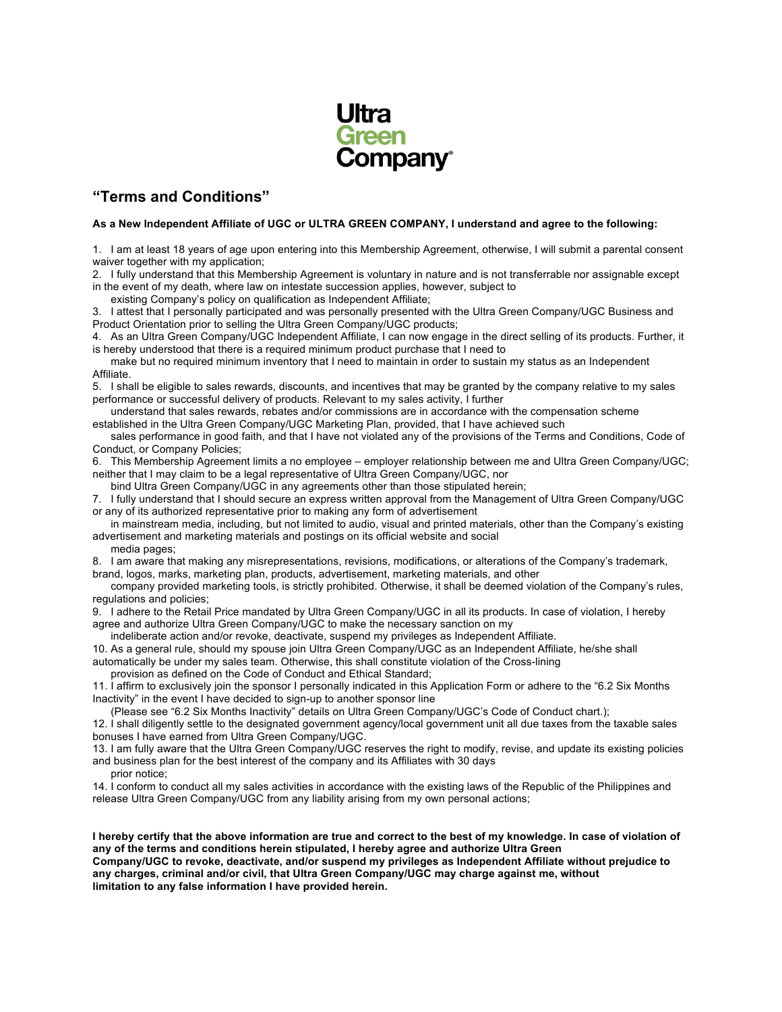

## **"Terms and Conditions"**

## **As a New Independent Affiliate of UGC or ULTRA GREEN COMPANY, I understand and agree to the following:**

1. I am at least 18 years of age upon entering into this Membership Agreement, otherwise, I will submit a parental consent waiver together with my application;

2. I fully understand that this Membership Agreement is voluntary in nature and is not transferrable nor assignable except in the event of my death, where law on intestate succession applies, however, subject to

existing Company's policy on qualification as Independent Affiliate;

3. I attest that I personally participated and was personally presented with the Ultra Green Company/UGC Business and Product Orientation prior to selling the Ultra Green Company/UGC products;

4. As an Ultra Green Company/UGC Independent Affiliate, I can now engage in the direct selling of its products. Further, it is hereby understood that there is a required minimum product purchase that I need to

 make but no required minimum inventory that I need to maintain in order to sustain my status as an Independent Affiliate.

5. I shall be eligible to sales rewards, discounts, and incentives that may be granted by the company relative to my sales performance or successful delivery of products. Relevant to my sales activity, I further

 understand that sales rewards, rebates and/or commissions are in accordance with the compensation scheme established in the Ultra Green Company/UGC Marketing Plan, provided, that I have achieved such

 sales performance in good faith, and that I have not violated any of the provisions of the Terms and Conditions, Code of Conduct, or Company Policies;

6. This Membership Agreement limits a no employee – employer relationship between me and Ultra Green Company/UGC; neither that I may claim to be a legal representative of Ultra Green Company/UGC, nor

bind Ultra Green Company/UGC in any agreements other than those stipulated herein;

7. I fully understand that I should secure an express written approval from the Management of Ultra Green Company/UGC or any of its authorized representative prior to making any form of advertisement

 in mainstream media, including, but not limited to audio, visual and printed materials, other than the Company's existing advertisement and marketing materials and postings on its official website and social

media pages;

8. I am aware that making any misrepresentations, revisions, modifications, or alterations of the Company's trademark, brand, logos, marks, marketing plan, products, advertisement, marketing materials, and other

 company provided marketing tools, is strictly prohibited. Otherwise, it shall be deemed violation of the Company's rules, regulations and policies;

9. I adhere to the Retail Price mandated by Ultra Green Company/UGC in all its products. In case of violation, I hereby agree and authorize Ultra Green Company/UGC to make the necessary sanction on my

indeliberate action and/or revoke, deactivate, suspend my privileges as Independent Affiliate.

10. As a general rule, should my spouse join Ultra Green Company/UGC as an Independent Affiliate, he/she shall automatically be under my sales team. Otherwise, this shall constitute violation of the Cross-lining

provision as defined on the Code of Conduct and Ethical Standard;

11. I affirm to exclusively join the sponsor I personally indicated in this Application Form or adhere to the "6.2 Six Months Inactivity" in the event I have decided to sign-up to another sponsor line

(Please see "6.2 Six Months Inactivity" details on Ultra Green Company/UGC's Code of Conduct chart.);

12. I shall diligently settle to the designated government agency/local government unit all due taxes from the taxable sales bonuses I have earned from Ultra Green Company/UGC.

13. I am fully aware that the Ultra Green Company/UGC reserves the right to modify, revise, and update its existing policies and business plan for the best interest of the company and its Affiliates with 30 days

prior notice;

14. I conform to conduct all my sales activities in accordance with the existing laws of the Republic of the Philippines and release Ultra Green Company/UGC from any liability arising from my own personal actions;

**I hereby certify that the above information are true and correct to the best of my knowledge. In case of violation of any of the terms and conditions herein stipulated, I hereby agree and authorize Ultra Green Company/UGC to revoke, deactivate, and/or suspend my privileges as Independent Affiliate without prejudice to any charges, criminal and/or civil, that Ultra Green Company/UGC may charge against me, without limitation to any false information I have provided herein.**